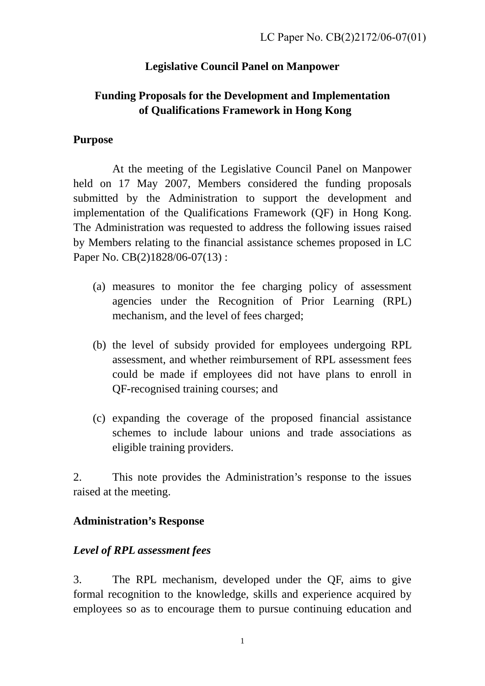## **Legislative Council Panel on Manpower**

## **Funding Proposals for the Development and Implementation of Qualifications Framework in Hong Kong**

#### **Purpose**

 At the meeting of the Legislative Council Panel on Manpower held on 17 May 2007, Members considered the funding proposals submitted by the Administration to support the development and implementation of the Qualifications Framework (QF) in Hong Kong. The Administration was requested to address the following issues raised by Members relating to the financial assistance schemes proposed in LC Paper No. CB(2)1828/06-07(13):

- (a) measures to monitor the fee charging policy of assessment agencies under the Recognition of Prior Learning (RPL) mechanism, and the level of fees charged;
- (b) the level of subsidy provided for employees undergoing RPL assessment, and whether reimbursement of RPL assessment fees could be made if employees did not have plans to enroll in QF-recognised training courses; and
- (c) expanding the coverage of the proposed financial assistance schemes to include labour unions and trade associations as eligible training providers.

2. This note provides the Administration's response to the issues raised at the meeting.

### **Administration's Response**

### *Level of RPL assessment fees*

3. The RPL mechanism, developed under the QF, aims to give formal recognition to the knowledge, skills and experience acquired by employees so as to encourage them to pursue continuing education and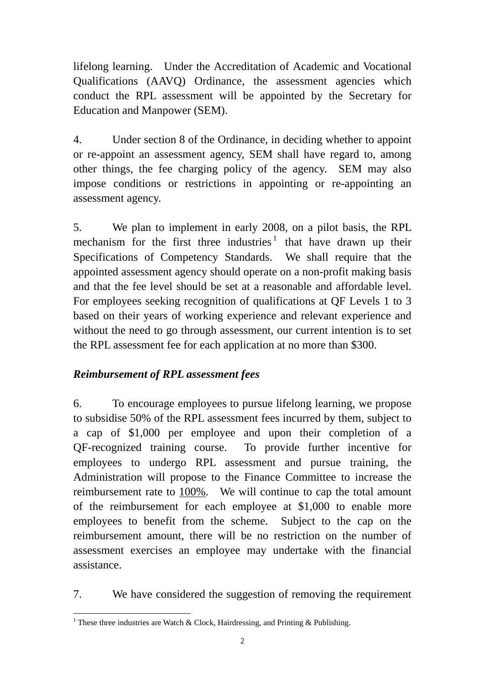lifelong learning. Under the Accreditation of Academic and Vocational Qualifications (AAVQ) Ordinance, the assessment agencies which conduct the RPL assessment will be appointed by the Secretary for Education and Manpower (SEM).

4. Under section 8 of the Ordinance, in deciding whether to appoint or re-appoint an assessment agency, SEM shall have regard to, among other things, the fee charging policy of the agency. SEM may also impose conditions or restrictions in appointing or re-appointing an assessment agency.

5. We plan to implement in early 2008, on a pilot basis, the RPL mechanism for the first three industries<sup>[1](#page-1-0)</sup> that have drawn up their Specifications of Competency Standards. We shall require that the appointed assessment agency should operate on a non-profit making basis and that the fee level should be set at a reasonable and affordable level. For employees seeking recognition of qualifications at QF Levels 1 to 3 based on their years of working experience and relevant experience and without the need to go through assessment, our current intention is to set the RPL assessment fee for each application at no more than \$300.

### *Reimbursement of RPL assessment fees*

6. To encourage employees to pursue lifelong learning, we propose to subsidise 50% of the RPL assessment fees incurred by them, subject to a cap of \$1,000 per employee and upon their completion of a QF-recognized training course. To provide further incentive for employees to undergo RPL assessment and pursue training, the Administration will propose to the Finance Committee to increase the reimbursement rate to 100%. We will continue to cap the total amount of the reimbursement for each employee at \$1,000 to enable more employees to benefit from the scheme. Subject to the cap on the reimbursement amount, there will be no restriction on the number of assessment exercises an employee may undertake with the financial assistance.

7. We have considered the suggestion of removing the requirement

<span id="page-1-0"></span><sup>&</sup>lt;sup>1</sup> These three industries are Watch & Clock, Hairdressing, and Printing & Publishing.